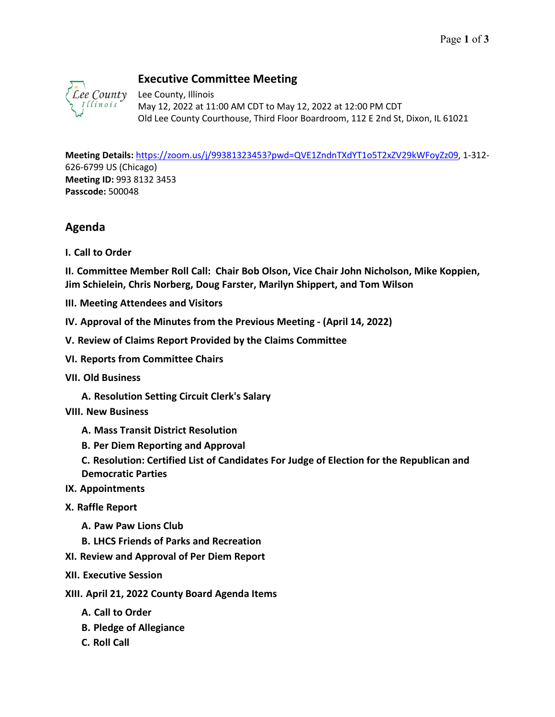

## **Executive Committee Meeting**

Lee County, Illinois May 12, 2022 at 11:00 AM CDT to May 12, 2022 at 12:00 PM CDT Old Lee County Courthouse, Third Floor Boardroom, 112 E 2nd St, Dixon, IL 61021

**Meeting Details:** [https://zoom.us/j/99381323453?pwd=QVE1ZndnTXdYT1o5T2xZV29kWFoyZz09,](https://zoom.us/j/99381323453?pwd=QVE1ZndnTXdYT1o5T2xZV29kWFoyZz09) 1-312- 626-6799 US (Chicago) **Meeting ID:** 993 8132 3453 **Passcode:** 500048

## **Agenda**

**I. Call to Order**

**II. Committee Member Roll Call: Chair Bob Olson, Vice Chair John Nicholson, Mike Koppien, Jim Schielein, Chris Norberg, Doug Farster, Marilyn Shippert, and Tom Wilson**

- **III. Meeting Attendees and Visitors**
- **IV. Approval of the Minutes from the Previous Meeting (April 14, 2022)**
- **V. Review of Claims Report Provided by the Claims Committee**
- **VI. Reports from Committee Chairs**
- **VII. Old Business**
	- **A. Resolution Setting Circuit Clerk's Salary**

## **VIII. New Business**

- **A. Mass Transit District Resolution**
- **B. Per Diem Reporting and Approval**
- **C. Resolution: Certified List of Candidates For Judge of Election for the Republican and Democratic Parties**
- **IX. Appointments**
- **X. Raffle Report** 
	- **A. Paw Paw Lions Club**
	- **B. LHCS Friends of Parks and Recreation**
- **XI. Review and Approval of Per Diem Report**
- **XII. Executive Session**
- **XIII. April 21, 2022 County Board Agenda Items**
	- **A. Call to Order**
	- **B. Pledge of Allegiance**
	- **C. Roll Call**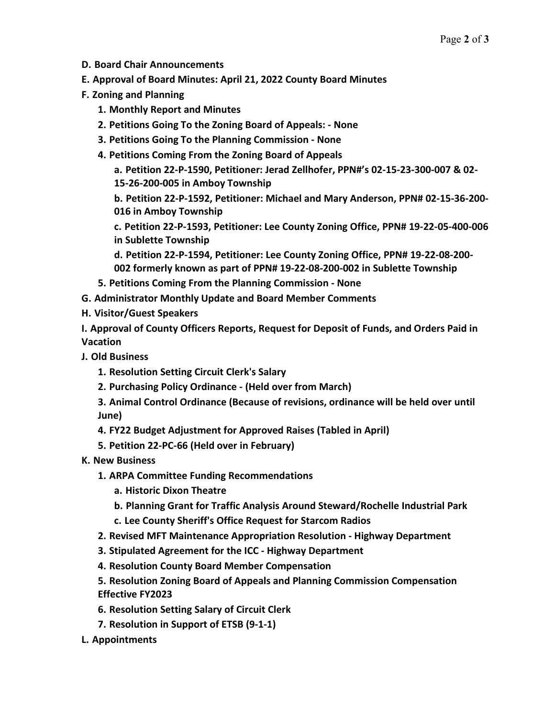- **D. Board Chair Announcements**
- **E. Approval of Board Minutes: April 21, 2022 County Board Minutes**
- **F. Zoning and Planning**
	- **1. Monthly Report and Minutes**
	- **2. Petitions Going To the Zoning Board of Appeals: - None**
	- **3. Petitions Going To the Planning Commission - None**
	- **4. Petitions Coming From the Zoning Board of Appeals**

**a. Petition 22-P-1590, Petitioner: Jerad Zellhofer, PPN#'s 02-15-23-300-007 & 02-**

**15-26-200-005 in Amboy Township b. Petition 22-P-1592, Petitioner: Michael and Mary Anderson, PPN# 02-15-36-200-**

**016 in Amboy Township**

**c. Petition 22-P-1593, Petitioner: Lee County Zoning Office, PPN# 19-22-05-400-006 in Sublette Township**

**d. Petition 22-P-1594, Petitioner: Lee County Zoning Office, PPN# 19-22-08-200- 002 formerly known as part of PPN# 19-22-08-200-002 in Sublette Township**

- **5. Petitions Coming From the Planning Commission - None**
- **G. Administrator Monthly Update and Board Member Comments**
- **H. Visitor/Guest Speakers**

**I. Approval of County Officers Reports, Request for Deposit of Funds, and Orders Paid in Vacation**

- **J. Old Business**
	- **1. Resolution Setting Circuit Clerk's Salary**
	- **2. Purchasing Policy Ordinance - (Held over from March)**

**3. Animal Control Ordinance (Because of revisions, ordinance will be held over until June)**

- **4. FY22 Budget Adjustment for Approved Raises (Tabled in April)**
- **5. Petition 22-PC-66 (Held over in February)**
- **K. New Business**
	- **1. ARPA Committee Funding Recommendations**
		- **a. Historic Dixon Theatre**
		- **b. Planning Grant for Traffic Analysis Around Steward/Rochelle Industrial Park**
		- **c. Lee County Sheriff's Office Request for Starcom Radios**
	- **2. Revised MFT Maintenance Appropriation Resolution - Highway Department**
	- **3. Stipulated Agreement for the ICC - Highway Department**
	- **4. Resolution County Board Member Compensation**
	- **5. Resolution Zoning Board of Appeals and Planning Commission Compensation Effective FY2023**
	- **6. Resolution Setting Salary of Circuit Clerk**
	- **7. Resolution in Support of ETSB (9-1-1)**
- **L. Appointments**